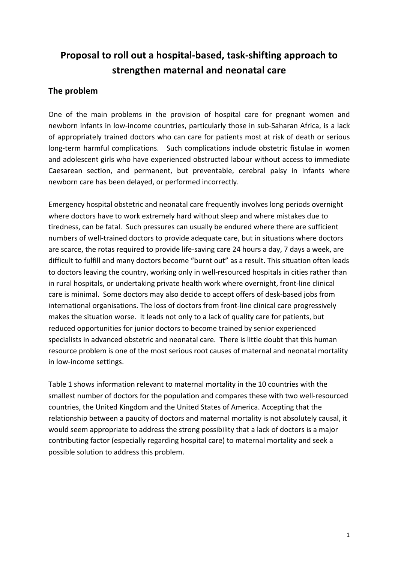# **Proposal to roll out a hospital-based, task-shifting approach to strengthen maternal and neonatal care**

#### **The problem**

One of the main problems in the provision of hospital care for pregnant women and newborn infants in low-income countries, particularly those in sub-Saharan Africa, is a lack of appropriately trained doctors who can care for patients most at risk of death or serious long-term harmful complications. Such complications include obstetric fistulae in women and adolescent girls who have experienced obstructed labour without access to immediate Caesarean section, and permanent, but preventable, cerebral palsy in infants where newborn care has been delayed, or performed incorrectly.

Emergency hospital obstetric and neonatal care frequently involves long periods overnight where doctors have to work extremely hard without sleep and where mistakes due to tiredness, can be fatal. Such pressures can usually be endured where there are sufficient numbers of well-trained doctors to provide adequate care, but in situations where doctors are scarce, the rotas required to provide life-saving care 24 hours a day, 7 days a week, are difficult to fulfill and many doctors become "burnt out" as a result. This situation often leads to doctors leaving the country, working only in well-resourced hospitals in cities rather than in rural hospitals, or undertaking private health work where overnight, front-line clinical care is minimal. Some doctors may also decide to accept offers of desk-based jobs from international organisations. The loss of doctors from front-line clinical care progressively makes the situation worse. It leads not only to a lack of quality care for patients, but reduced opportunities for junior doctors to become trained by senior experienced specialists in advanced obstetric and neonatal care. There is little doubt that this human resource problem is one of the most serious root causes of maternal and neonatal mortality in low-income settings.

Table 1 shows information relevant to maternal mortality in the 10 countries with the smallest number of doctors for the population and compares these with two well-resourced countries, the United Kingdom and the United States of America. Accepting that the relationship between a paucity of doctors and maternal mortality is not absolutely causal, it would seem appropriate to address the strong possibility that a lack of doctors is a major contributing factor (especially regarding hospital care) to maternal mortality and seek a possible solution to address this problem.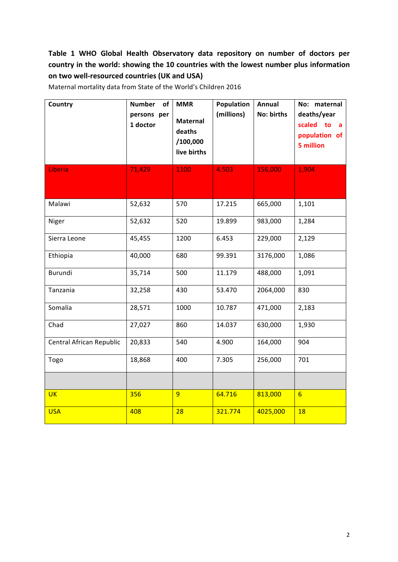### Table 1 WHO Global Health Observatory data repository on number of doctors per country in the world: showing the 10 countries with the lowest number plus information on two well-resourced countries (UK and USA)

| Country                  | <b>Number</b><br>of<br>persons per<br>1 doctor | <b>MMR</b><br><b>Maternal</b><br>deaths<br>/100,000<br>live births | Population<br>(millions) | Annual<br>No: births | No: maternal<br>deaths/year<br>scaled to a<br>population of<br>5 million |
|--------------------------|------------------------------------------------|--------------------------------------------------------------------|--------------------------|----------------------|--------------------------------------------------------------------------|
| Liberia                  | 71,429                                         | 1100                                                               | 4.503                    | 156,000              | 1,904                                                                    |
| Malawi                   | 52,632                                         | 570                                                                | 17.215                   | 665,000              | 1,101                                                                    |
| Niger                    | 52,632                                         | 520                                                                | 19.899                   | 983,000              | 1,284                                                                    |
| Sierra Leone             | 45,455                                         | 1200                                                               | 6.453                    | 229,000              | 2,129                                                                    |
| Ethiopia                 | 40,000                                         | 680                                                                | 99.391                   | 3176,000             | 1,086                                                                    |
| Burundi                  | 35,714                                         | 500                                                                | 11.179                   | 488,000              | 1,091                                                                    |
| Tanzania                 | 32,258                                         | 430                                                                | 53.470                   | 2064,000             | 830                                                                      |
| Somalia                  | 28,571                                         | 1000                                                               | 10.787                   | 471,000              | 2,183                                                                    |
| Chad                     | 27,027                                         | 860                                                                | 14.037                   | 630,000              | 1,930                                                                    |
| Central African Republic | 20,833                                         | 540                                                                | 4.900                    | 164,000              | 904                                                                      |
| Togo                     | 18,868                                         | 400                                                                | 7.305                    | 256,000              | 701                                                                      |
|                          |                                                |                                                                    |                          |                      |                                                                          |
| <b>UK</b>                | 356                                            | $\overline{9}$                                                     | 64.716                   | 813,000              | $6 \overline{}$                                                          |
| <b>USA</b>               | 408                                            | 28                                                                 | 321.774                  | 4025,000             | 18                                                                       |

Maternal mortality data from State of the World's Children 2016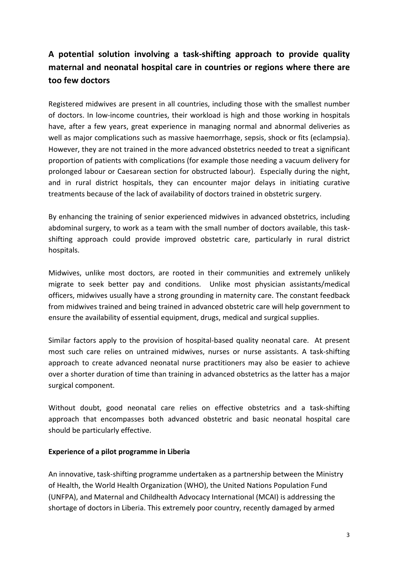## **A potential solution involving a task-shifting approach to provide quality maternal and neonatal hospital care in countries or regions where there are too few doctors**

Registered midwives are present in all countries, including those with the smallest number of doctors. In low-income countries, their workload is high and those working in hospitals have, after a few years, great experience in managing normal and abnormal deliveries as well as major complications such as massive haemorrhage, sepsis, shock or fits (eclampsia). However, they are not trained in the more advanced obstetrics needed to treat a significant proportion of patients with complications (for example those needing a vacuum delivery for prolonged labour or Caesarean section for obstructed labour). Especially during the night, and in rural district hospitals, they can encounter major delays in initiating curative treatments because of the lack of availability of doctors trained in obstetric surgery.

By enhancing the training of senior experienced midwives in advanced obstetrics, including abdominal surgery, to work as a team with the small number of doctors available, this taskshifting approach could provide improved obstetric care, particularly in rural district hospitals.

Midwives, unlike most doctors, are rooted in their communities and extremely unlikely migrate to seek better pay and conditions. Unlike most physician assistants/medical officers, midwives usually have a strong grounding in maternity care. The constant feedback from midwives trained and being trained in advanced obstetric care will help government to ensure the availability of essential equipment, drugs, medical and surgical supplies.

Similar factors apply to the provision of hospital-based quality neonatal care. At present most such care relies on untrained midwives, nurses or nurse assistants. A task-shifting approach to create advanced neonatal nurse practitioners may also be easier to achieve over a shorter duration of time than training in advanced obstetrics as the latter has a major surgical component.

Without doubt, good neonatal care relies on effective obstetrics and a task-shifting approach that encompasses both advanced obstetric and basic neonatal hospital care should be particularly effective.

#### **Experience of a pilot programme in Liberia**

An innovative, task-shifting programme undertaken as a partnership between the Ministry of Health, the World Health Organization (WHO), the United Nations Population Fund (UNFPA), and Maternal and Childhealth Advocacy International (MCAI) is addressing the shortage of doctors in Liberia. This extremely poor country, recently damaged by armed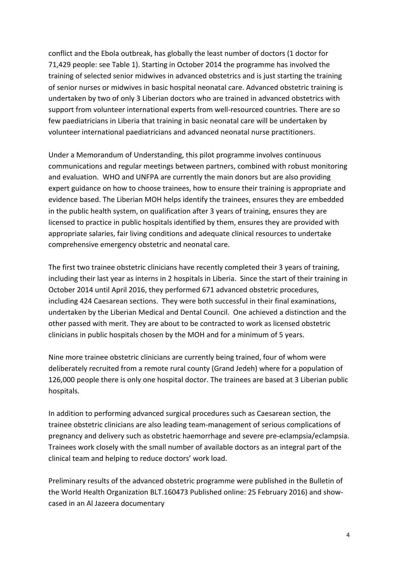conflict and the Ebola outbreak, has globally the least number of doctors (1 doctor for 71,429 people: see Table 1). Starting in October 2014 the programme has involved the training of selected senior midwives in advanced obstetrics and is just starting the training of senior nurses or midwives in basic hospital neonatal care. Advanced obstetric training is undertaken by two of only 3 Liberian doctors who are trained in advanced obstetrics with support from volunteer international experts from well-resourced countries. There are so few paediatricians in Liberia that training in basic neonatal care will be undertaken by volunteer international paediatricians and advanced neonatal nurse practitioners.

Under a Memorandum of Understanding, this pilot programme involves continuous communications and regular meetings between partners, combined with robust monitoring and evaluation. WHO and UNFPA are currently the main donors but are also providing expert guidance on how to choose trainees, how to ensure their training is appropriate and evidence based. The Liberian MOH helps identify the trainees, ensures they are embedded in the public health system, on qualification after 3 years of training, ensures they are licensed to practice in public hospitals identified by them, ensures they are provided with appropriate salaries, fair living conditions and adequate clinical resources to undertake comprehensive emergency obstetric and neonatal care.

The first two trainee obstetric clinicians have recently completed their 3 years of training, including their last year as interns in 2 hospitals in Liberia. Since the start of their training in October 2014 until April 2016, they performed 671 advanced obstetric procedures, including 424 Caesarean sections. They were both successful in their final examinations, undertaken by the Liberian Medical and Dental Council. One achieved a distinction and the other passed with merit. They are about to be contracted to work as licensed obstetric clinicians in public hospitals chosen by the MOH and for a minimum of 5 years.

Nine more trainee obstetric clinicians are currently being trained, four of whom were deliberately recruited from a remote rural county (Grand Jedeh) where for a population of 126,000 people there is only one hospital doctor. The trainees are based at 3 Liberian public hospitals.

In addition to performing advanced surgical procedures such as Caesarean section, the trainee obstetric clinicians are also leading team-management of serious complications of pregnancy and delivery such as obstetric haemorrhage and severe pre-eclampsia/eclampsia. Trainees work closely with the small number of available doctors as an integral part of the clinical team and helping to reduce doctors' work load.

Preliminary results of the advanced obstetric programme were published in the Bulletin of the World Health Organization BLT.160473 Published online: 25 February 2016) and showcased in an Al Jazeera documentary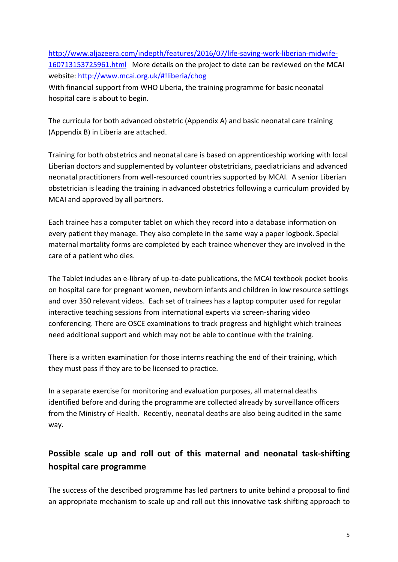http://www.aljazeera.com/indepth/features/2016/07/life-saving-work-liberian-midwife-160713153725961.html More details on the project to date can be reviewed on the MCAI website: http://www.mcai.org.uk/#!liberia/chog 

With financial support from WHO Liberia, the training programme for basic neonatal hospital care is about to begin.

The curricula for both advanced obstetric (Appendix A) and basic neonatal care training (Appendix B) in Liberia are attached.

Training for both obstetrics and neonatal care is based on apprenticeship working with local Liberian doctors and supplemented by volunteer obstetricians, paediatricians and advanced neonatal practitioners from well-resourced countries supported by MCAI. A senior Liberian obstetrician is leading the training in advanced obstetrics following a curriculum provided by MCAI and approved by all partners.

Each trainee has a computer tablet on which they record into a database information on every patient they manage. They also complete in the same way a paper logbook. Special maternal mortality forms are completed by each trainee whenever they are involved in the care of a patient who dies.

The Tablet includes an e-library of up-to-date publications, the MCAI textbook pocket books on hospital care for pregnant women, newborn infants and children in low resource settings and over 350 relevant videos. Each set of trainees has a laptop computer used for regular interactive teaching sessions from international experts via screen-sharing video conferencing. There are OSCE examinations to track progress and highlight which trainees need additional support and which may not be able to continue with the training.

There is a written examination for those interns reaching the end of their training, which they must pass if they are to be licensed to practice.

In a separate exercise for monitoring and evaluation purposes, all maternal deaths identified before and during the programme are collected already by surveillance officers from the Ministry of Health. Recently, neonatal deaths are also being audited in the same way. 

## Possible scale up and roll out of this maternal and neonatal task-shifting **hospital care programme**

The success of the described programme has led partners to unite behind a proposal to find an appropriate mechanism to scale up and roll out this innovative task-shifting approach to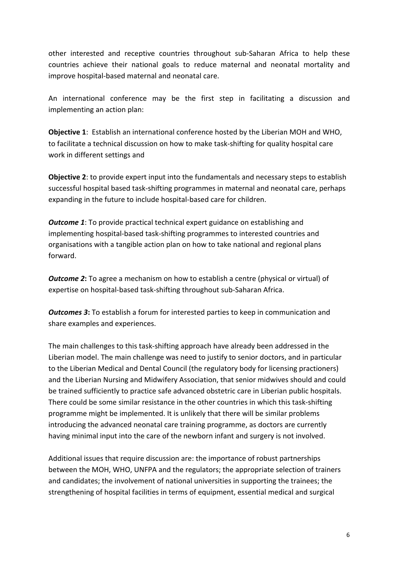other interested and receptive countries throughout sub-Saharan Africa to help these countries achieve their national goals to reduce maternal and neonatal mortality and improve hospital-based maternal and neonatal care.

An international conference may be the first step in facilitating a discussion and implementing an action plan:

**Objective 1:** Establish an international conference hosted by the Liberian MOH and WHO, to facilitate a technical discussion on how to make task-shifting for quality hospital care work in different settings and

**Objective 2:** to provide expert input into the fundamentals and necessary steps to establish successful hospital based task-shifting programmes in maternal and neonatal care, perhaps expanding in the future to include hospital-based care for children.

*Outcome* 1: To provide practical technical expert guidance on establishing and implementing hospital-based task-shifting programmes to interested countries and organisations with a tangible action plan on how to take national and regional plans forward.

*Outcome 2*: To agree a mechanism on how to establish a centre (physical or virtual) of expertise on hospital-based task-shifting throughout sub-Saharan Africa.

*Outcomes 3*: To establish a forum for interested parties to keep in communication and share examples and experiences.

The main challenges to this task-shifting approach have already been addressed in the Liberian model. The main challenge was need to justify to senior doctors, and in particular to the Liberian Medical and Dental Council (the regulatory body for licensing practioners) and the Liberian Nursing and Midwifery Association, that senior midwives should and could be trained sufficiently to practice safe advanced obstetric care in Liberian public hospitals. There could be some similar resistance in the other countries in which this task-shifting programme might be implemented. It is unlikely that there will be similar problems introducing the advanced neonatal care training programme, as doctors are currently having minimal input into the care of the newborn infant and surgery is not involved.

Additional issues that require discussion are: the importance of robust partnerships between the MOH, WHO, UNFPA and the regulators; the appropriate selection of trainers and candidates; the involvement of national universities in supporting the trainees; the strengthening of hospital facilities in terms of equipment, essential medical and surgical